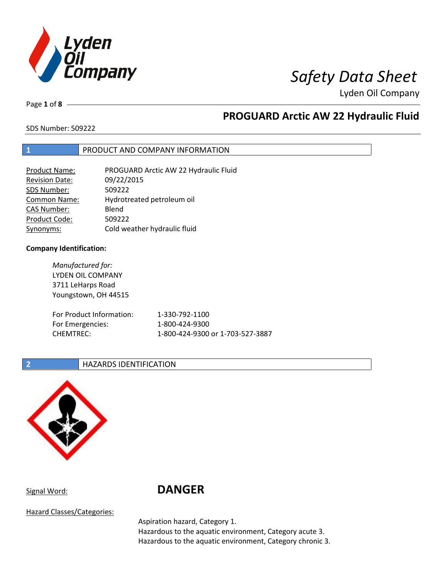

Page **1** of **8**

## **PROGUARD Arctic AW 22 Hydraulic Fluid**

SDS Number: 509222

### **1** PRODUCT AND COMPANY INFORMATION

| <b>Product Name:</b>  | PROGUARD Arctic AW 22 Hydraulic Fluid |
|-----------------------|---------------------------------------|
| <b>Revision Date:</b> | 09/22/2015                            |
| SDS Number:           | 509222                                |
| <b>Common Name:</b>   | Hydrotreated petroleum oil            |
| <b>CAS Number:</b>    | Blend                                 |
| Product Code:         | 509222                                |
| Synonyms:             | Cold weather hydraulic fluid          |

### **Company Identification:**

*Manufactured for:* LYDEN OIL COMPANY 3711 LeHarps Road Youngstown, OH 44515 For Product Information: 1-330-792-1100 For Emergencies: 1-800-424-9300 CHEMTREC: 1-800-424-9300 or 1-703-527-3887

### **2 HAZARDS IDENTIFICATION**



# Signal Word: **DANGER**

Hazard Classes/Categories:

Aspiration hazard, Category 1.

Hazardous to the aquatic environment, Category acute 3. Hazardous to the aquatic environment, Category chronic 3.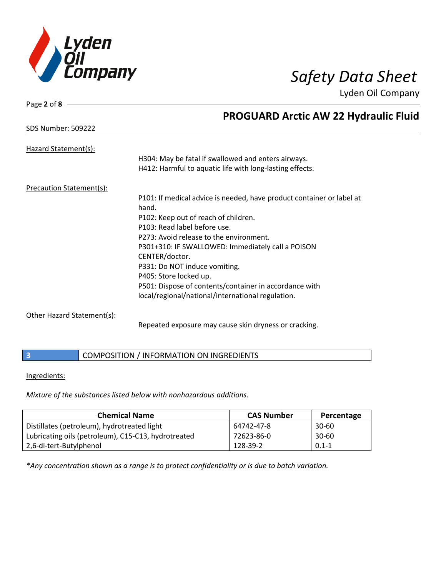

| Page 2 of 8                     |                                                                       |
|---------------------------------|-----------------------------------------------------------------------|
|                                 | <b>PROGUARD Arctic AW 22 Hydraulic Fluid</b>                          |
| <b>SDS Number: 509222</b>       |                                                                       |
| Hazard Statement(s):            |                                                                       |
|                                 | H304: May be fatal if swallowed and enters airways.                   |
|                                 | H412: Harmful to aquatic life with long-lasting effects.              |
| <b>Precaution Statement(s):</b> |                                                                       |
|                                 | P101: If medical advice is needed, have product container or label at |
|                                 | hand.                                                                 |
|                                 | P102: Keep out of reach of children.                                  |
|                                 | P103: Read label before use.                                          |
|                                 | P273: Avoid release to the environment.                               |
|                                 | P301+310: IF SWALLOWED: Immediately call a POISON                     |
|                                 | CENTER/doctor.                                                        |
|                                 | P331: Do NOT induce vomiting.                                         |
|                                 | P405: Store locked up.                                                |
|                                 | P501: Dispose of contents/container in accordance with                |
|                                 | local/regional/national/international regulation.                     |

### Other Hazard Statement(s):

Repeated exposure may cause skin dryness or cracking.

**3 COMPOSITION** / INFORMATION ON INGREDIENTS

### Ingredients:

*Mixture of the substances listed below with nonhazardous additions.*

| <b>Chemical Name</b>                                | <b>CAS Number</b> | Percentage |
|-----------------------------------------------------|-------------------|------------|
| Distillates (petroleum), hydrotreated light         | 64742-47-8        | $30 - 60$  |
| Lubricating oils (petroleum), C15-C13, hydrotreated | 72623-86-0        | $30 - 60$  |
| 2,6-di-tert-Butylphenol                             | 128-39-2          | $0.1 - 1$  |

*\*Any concentration shown as a range is to protect confidentiality or is due to batch variation.*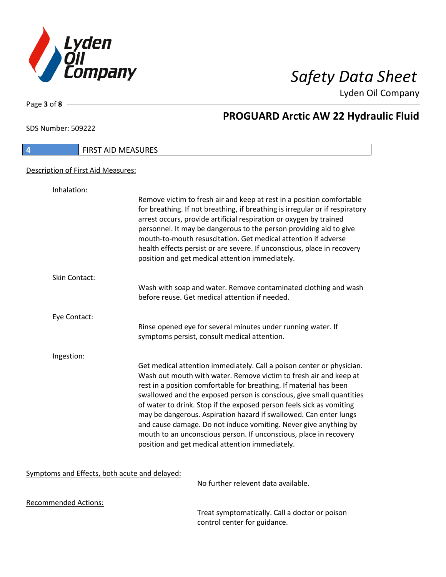

Page **3** of **8**

# **PROGUARD Arctic AW 22 Hydraulic Fluid**

SDS Number: 509222

| <b>FIRST AID MEASURES</b>          |                                                                                                                                                                                                                                                                                                                                                                                                                                                                                                                                                                                                                                   |
|------------------------------------|-----------------------------------------------------------------------------------------------------------------------------------------------------------------------------------------------------------------------------------------------------------------------------------------------------------------------------------------------------------------------------------------------------------------------------------------------------------------------------------------------------------------------------------------------------------------------------------------------------------------------------------|
|                                    |                                                                                                                                                                                                                                                                                                                                                                                                                                                                                                                                                                                                                                   |
| Description of First Aid Measures: |                                                                                                                                                                                                                                                                                                                                                                                                                                                                                                                                                                                                                                   |
| Inhalation:                        |                                                                                                                                                                                                                                                                                                                                                                                                                                                                                                                                                                                                                                   |
|                                    | Remove victim to fresh air and keep at rest in a position comfortable<br>for breathing. If not breathing, if breathing is irregular or if respiratory<br>arrest occurs, provide artificial respiration or oxygen by trained<br>personnel. It may be dangerous to the person providing aid to give<br>mouth-to-mouth resuscitation. Get medical attention if adverse<br>health effects persist or are severe. If unconscious, place in recovery<br>position and get medical attention immediately.                                                                                                                                 |
| <b>Skin Contact:</b>               |                                                                                                                                                                                                                                                                                                                                                                                                                                                                                                                                                                                                                                   |
|                                    | Wash with soap and water. Remove contaminated clothing and wash<br>before reuse. Get medical attention if needed.                                                                                                                                                                                                                                                                                                                                                                                                                                                                                                                 |
| Eye Contact:                       |                                                                                                                                                                                                                                                                                                                                                                                                                                                                                                                                                                                                                                   |
|                                    | Rinse opened eye for several minutes under running water. If<br>symptoms persist, consult medical attention.                                                                                                                                                                                                                                                                                                                                                                                                                                                                                                                      |
| Ingestion:                         |                                                                                                                                                                                                                                                                                                                                                                                                                                                                                                                                                                                                                                   |
|                                    | Get medical attention immediately. Call a poison center or physician.<br>Wash out mouth with water. Remove victim to fresh air and keep at<br>rest in a position comfortable for breathing. If material has been<br>swallowed and the exposed person is conscious, give small quantities<br>of water to drink. Stop if the exposed person feels sick as vomiting<br>may be dangerous. Aspiration hazard if swallowed. Can enter lungs<br>and cause damage. Do not induce vomiting. Never give anything by<br>mouth to an unconscious person. If unconscious, place in recovery<br>position and get medical attention immediately. |

### Symptoms and Effects, both acute and delayed:

No further relevent data available.

Recommended Actions:

Treat symptomatically. Call a doctor or poison control center for guidance.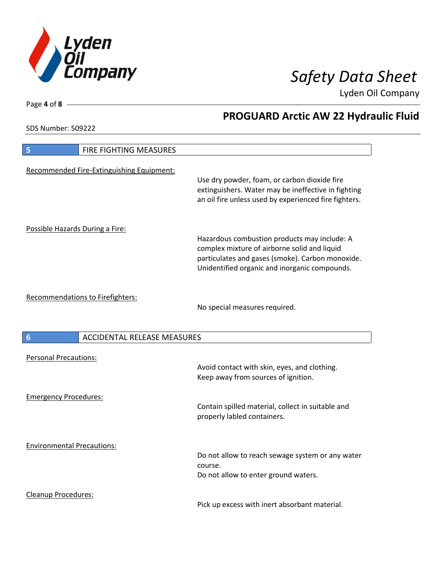

**PROGUARD Arctic AW 22 Hydraulic Fluid**

Lyden Oil Company

SDS Number: 509222

| FIRE FIGHTING MEASURES<br>5                           |                                                                                                                                                                                                   |
|-------------------------------------------------------|---------------------------------------------------------------------------------------------------------------------------------------------------------------------------------------------------|
| Recommended Fire-Extinguishing Equipment:             | Use dry powder, foam, or carbon dioxide fire<br>extinguishers. Water may be ineffective in fighting<br>an oil fire unless used by experienced fire fighters.                                      |
| Possible Hazards During a Fire:                       | Hazardous combustion products may include: A<br>complex mixture of airborne solid and liquid<br>particulates and gases (smoke). Carbon monoxide.<br>Unidentified organic and inorganic compounds. |
| <b>Recommendations to Firefighters:</b>               | No special measures required.                                                                                                                                                                     |
| <b>ACCIDENTAL RELEASE MEASURES</b><br>$6\phantom{1}6$ |                                                                                                                                                                                                   |
| <b>Personal Precautions:</b>                          | Avoid contact with skin, eyes, and clothing.<br>Keep away from sources of ignition.                                                                                                               |
| <b>Emergency Procedures:</b>                          | Contain spilled material, collect in suitable and<br>properly labled containers.                                                                                                                  |
| <b>Environmental Precautions:</b>                     | Do not allow to reach sewage system or any water<br>course.<br>Do not allow to enter ground waters.                                                                                               |
| Cleanup Procedures:                                   | Pick up excess with inert absorbant material.                                                                                                                                                     |

Page **4** of **8**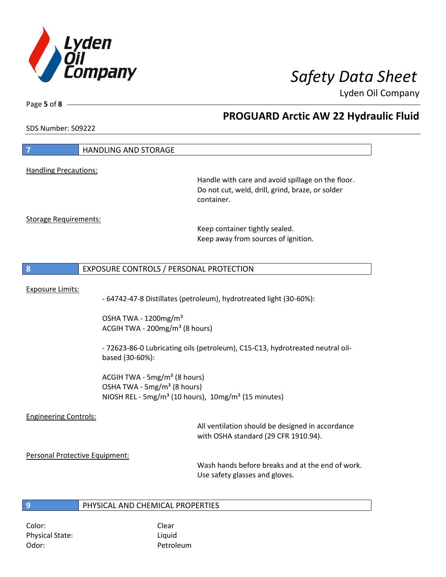

Page **5** of **8**

# **PROGUARD Arctic AW 22 Hydraulic Fluid**

SDS Number: 509222

| $\overline{\mathbf{z}}$                   | HANDLING AND STORAGE                                                                                                                                               |                                                                                                                     |
|-------------------------------------------|--------------------------------------------------------------------------------------------------------------------------------------------------------------------|---------------------------------------------------------------------------------------------------------------------|
| <b>Handling Precautions:</b>              |                                                                                                                                                                    |                                                                                                                     |
|                                           |                                                                                                                                                                    | Handle with care and avoid spillage on the floor.<br>Do not cut, weld, drill, grind, braze, or solder<br>container. |
| <b>Storage Requirements:</b>              |                                                                                                                                                                    | Keep container tightly sealed.<br>Keep away from sources of ignition.                                               |
| 8                                         | EXPOSURE CONTROLS / PERSONAL PROTECTION                                                                                                                            |                                                                                                                     |
| <b>Exposure Limits:</b>                   |                                                                                                                                                                    | - 64742-47-8 Distillates (petroleum), hydrotreated light (30-60%):                                                  |
|                                           | OSHA TWA - 1200mg/m <sup>3</sup><br>ACGIH TWA - 200mg/m <sup>3</sup> (8 hours)                                                                                     |                                                                                                                     |
|                                           | based (30-60%):                                                                                                                                                    | - 72623-86-0 Lubricating oils (petroleum), C15-C13, hydrotreated neutral oil-                                       |
|                                           | ACGIH TWA - 5mg/m <sup>3</sup> (8 hours)<br>OSHA TWA - 5mg/m <sup>3</sup> (8 hours)<br>NIOSH REL - 5mg/m <sup>3</sup> (10 hours), 10mg/m <sup>3</sup> (15 minutes) |                                                                                                                     |
| <b>Engineering Controls:</b>              |                                                                                                                                                                    | All ventilation should be designed in accordance<br>with OSHA standard (29 CFR 1910.94).                            |
| Personal Protective Equipment:            |                                                                                                                                                                    | Wash hands before breaks and at the end of work.<br>Use safety glasses and gloves.                                  |
| $\overline{9}$                            | PHYSICAL AND CHEMICAL PROPERTIES                                                                                                                                   |                                                                                                                     |
| Color:<br><b>Physical State:</b><br>Odor: | Clear<br>Liquid<br>Petroleum                                                                                                                                       |                                                                                                                     |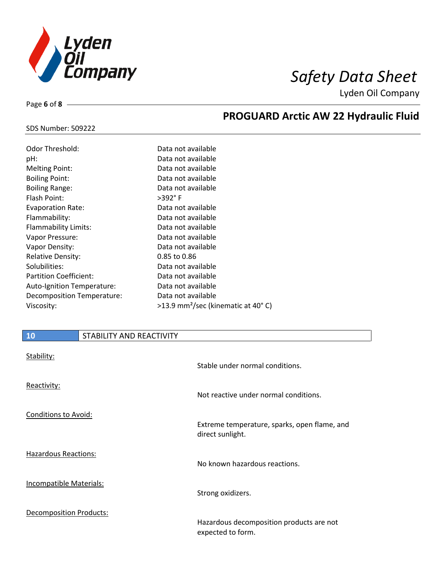

**PROGUARD Arctic AW 22 Hydraulic Fluid**

Lyden Oil Company

### SDS Number: 509222

Page **6** of **8**

| Odor Threshold:               | Data not available                               |
|-------------------------------|--------------------------------------------------|
| pH:                           | Data not available                               |
| <b>Melting Point:</b>         | Data not available                               |
| <b>Boiling Point:</b>         | Data not available                               |
| <b>Boiling Range:</b>         | Data not available                               |
| Flash Point:                  | >392°F                                           |
| <b>Evaporation Rate:</b>      | Data not available                               |
| Flammability:                 | Data not available                               |
| Flammability Limits:          | Data not available                               |
| Vapor Pressure:               | Data not available                               |
| Vapor Density:                | Data not available                               |
| <b>Relative Density:</b>      | 0.85 to 0.86                                     |
| Solubilities:                 | Data not available                               |
| <b>Partition Coefficient:</b> | Data not available                               |
| Auto-Ignition Temperature:    | Data not available                               |
| Decomposition Temperature:    | Data not available                               |
| Viscosity:                    | $>13.9$ mm <sup>2</sup> /sec (kinematic at 40°C) |

# **10** STABILITY AND REACTIVITY Stability: Stable under normal conditions. Reactivity: Not reactive under normal conditions. Conditions to Avoid: Extreme temperature, sparks, open flame, and direct sunlight. Hazardous Reactions: No known hazardous reactions. Incompatible Materials: Strong oxidizers. Decomposition Products: Hazardous decomposition products are not

expected to form.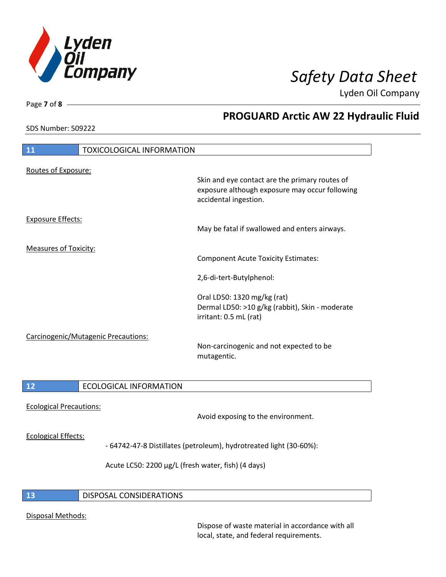

SDS Number: 509222

Page **7** of **8**

# **PROGUARD Arctic AW 22 Hydraulic Fluid**

| 11                           | <b>TOXICOLOGICAL INFORMATION</b>    |                                                                                                                           |
|------------------------------|-------------------------------------|---------------------------------------------------------------------------------------------------------------------------|
| Routes of Exposure:          |                                     |                                                                                                                           |
|                              |                                     | Skin and eye contact are the primary routes of<br>exposure although exposure may occur following<br>accidental ingestion. |
| <b>Exposure Effects:</b>     |                                     | May be fatal if swallowed and enters airways.                                                                             |
|                              |                                     |                                                                                                                           |
| <b>Measures of Toxicity:</b> |                                     | <b>Component Acute Toxicity Estimates:</b>                                                                                |
|                              |                                     | 2,6-di-tert-Butylphenol:                                                                                                  |
|                              |                                     | Oral LD50: 1320 mg/kg (rat)<br>Dermal LD50: >10 g/kg (rabbit), Skin - moderate<br>irritant: 0.5 mL (rat)                  |
|                              | Carcinogenic/Mutagenic Precautions: |                                                                                                                           |
|                              |                                     | Non-carcinogenic and not expected to be<br>mutagentic.                                                                    |
| 12                           | <b>ECOLOGICAL INFORMATION</b>       |                                                                                                                           |
|                              |                                     |                                                                                                                           |

Ecological Precautions:

Avoid exposing to the environment.

### Ecological Effects:

- 64742-47-8 Distillates (petroleum), hydrotreated light (30-60%):

Acute LC50: 2200 µg/L (fresh water, fish) (4 days)

### **13** DISPOSAL CONSIDERATIONS

### Disposal Methods:

Dispose of waste material in accordance with all local, state, and federal requirements.